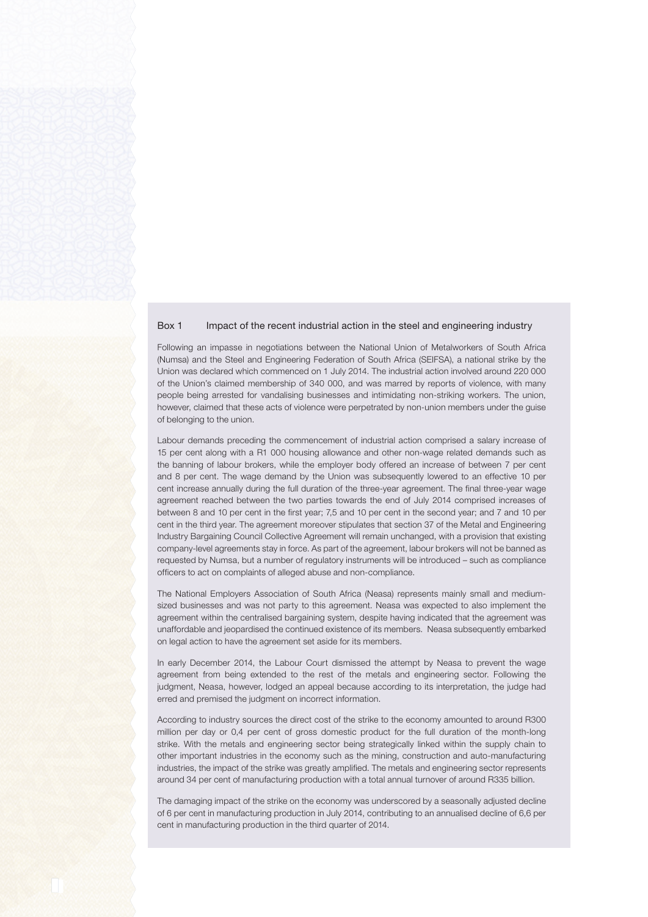## Box 1 Impact of the recent industrial action in the steel and engineering industry

Following an impasse in negotiations between the National Union of Metalworkers of South Africa (Numsa) and the Steel and Engineering Federation of South Africa (SEIFSA), a national strike by the Union was declared which commenced on 1 July 2014. The industrial action involved around 220 000 of the Union's claimed membership of 340 000, and was marred by reports of violence, with many people being arrested for vandalising businesses and intimidating non-striking workers. The union, however, claimed that these acts of violence were perpetrated by non-union members under the guise of belonging to the union.

Labour demands preceding the commencement of industrial action comprised a salary increase of 15 per cent along with a R1 000 housing allowance and other non-wage related demands such as the banning of labour brokers, while the employer body offered an increase of between 7 per cent and 8 per cent. The wage demand by the Union was subsequently lowered to an effective 10 per cent increase annually during the full duration of the three-year agreement. The final three-year wage agreement reached between the two parties towards the end of July 2014 comprised increases of between 8 and 10 per cent in the first year; 7,5 and 10 per cent in the second year; and 7 and 10 per cent in the third year. The agreement moreover stipulates that section 37 of the Metal and Engineering Industry Bargaining Council Collective Agreement will remain unchanged, with a provision that existing company-level agreements stay in force. As part of the agreement, labour brokers will not be banned as requested by Numsa, but a number of regulatory instruments will be introduced – such as compliance officers to act on complaints of alleged abuse and non-compliance.

The National Employers Association of South Africa (Neasa) represents mainly small and mediumsized businesses and was not party to this agreement. Neasa was expected to also implement the agreement within the centralised bargaining system, despite having indicated that the agreement was unaffordable and jeopardised the continued existence of its members. Neasa subsequently embarked on legal action to have the agreement set aside for its members.

In early December 2014, the Labour Court dismissed the attempt by Neasa to prevent the wage agreement from being extended to the rest of the metals and engineering sector. Following the judgment, Neasa, however, lodged an appeal because according to its interpretation, the judge had erred and premised the judgment on incorrect information.

According to industry sources the direct cost of the strike to the economy amounted to around R300 million per day or 0,4 per cent of gross domestic product for the full duration of the month-long strike. With the metals and engineering sector being strategically linked within the supply chain to other important industries in the economy such as the mining, construction and auto-manufacturing industries, the impact of the strike was greatly amplified. The metals and engineering sector represents around 34 per cent of manufacturing production with a total annual turnover of around R335 billion.

The damaging impact of the strike on the economy was underscored by a seasonally adjusted decline of 6 per cent in manufacturing production in July 2014, contributing to an annualised decline of 6,6 per cent in manufacturing production in the third quarter of 2014.